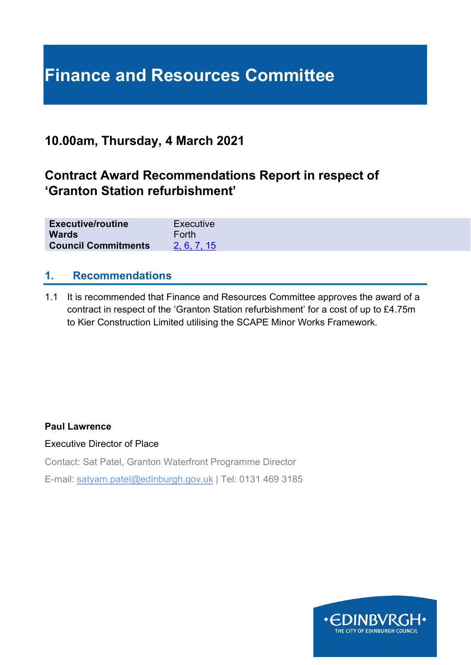## **Finance and Resources Committee**

## **10.00am, Thursday, 4 March 2021**

## **Contract Award Recommendations Report in respect of 'Granton Station refurbishment'**

| <b>Executive/routine</b>   | Executive   |
|----------------------------|-------------|
| <b>Wards</b>               | Forth       |
| <b>Council Commitments</b> | 2, 6, 7, 15 |

#### **1. Recommendations**

1.1 It is recommended that Finance and Resources Committee approves the award of a contract in respect of the 'Granton Station refurbishment' for a cost of up to £4.75m to Kier Construction Limited utilising the SCAPE Minor Works Framework.

#### **Paul Lawrence**

Executive Director of Place

Contact: Sat Patel, Granton Waterfront Programme Director

E-mail: satyam.patel@edinburgh.gov.uk | Tel: 0131 469 3185

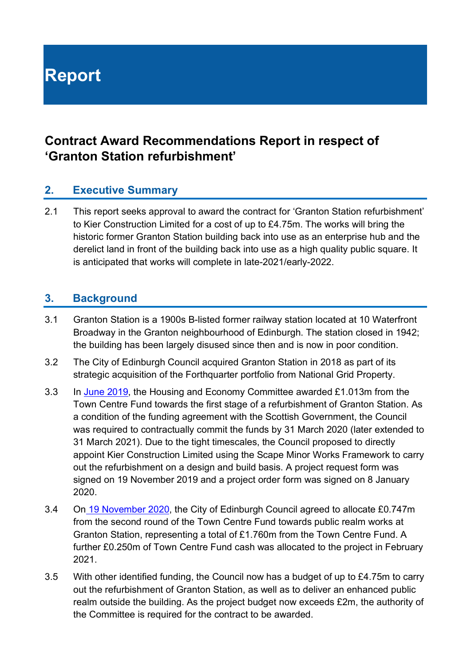# **Report**

## **Contract Award Recommendations Report in respect of 'Granton Station refurbishment'**

#### **2. Executive Summary**

2.1 This report seeks approval to award the contract for 'Granton Station refurbishment' to Kier Construction Limited for a cost of up to £4.75m. The works will bring the historic former Granton Station building back into use as an enterprise hub and the derelict land in front of the building back into use as a high quality public square. It is anticipated that works will complete in late-2021/early-2022.

#### **3. Background**

- 3.1 Granton Station is a 1900s B-listed former railway station located at 10 Waterfront Broadway in the Granton neighbourhood of Edinburgh. The station closed in 1942; the building has been largely disused since then and is now in poor condition.
- 3.2 The City of Edinburgh Council acquired Granton Station in 2018 as part of its strategic acquisition of the Forthquarter portfolio from National Grid Property.
- 3.3 In [June 2019,](https://democracy.edinburgh.gov.uk/CeListDocuments.aspx?CommitteeId=287&MeetingId=4955&DF=06%2f06%2f2019&Ver=2) the Housing and Economy Committee awarded £1.013m from the Town Centre Fund towards the first stage of a refurbishment of Granton Station. As a condition of the funding agreement with the Scottish Government, the Council was required to contractually commit the funds by 31 March 2020 (later extended to 31 March 2021). Due to the tight timescales, the Council proposed to directly appoint Kier Construction Limited using the Scape Minor Works Framework to carry out the refurbishment on a design and build basis. A project request form was signed on 19 November 2019 and a project order form was signed on 8 January 2020.
- 3.4 O[n](https://democracy.edinburgh.gov.uk/ieListDocuments.aspx?CId=150&MId=5593&Ver=4) [19 November 2020,](https://democracy.edinburgh.gov.uk/ieListDocuments.aspx?CId=150&MId=5593&Ver=4) the City of Edinburgh Council agreed to allocate £0.747m from the second round of the Town Centre Fund towards public realm works at Granton Station, representing a total of £1.760m from the Town Centre Fund. A further £0.250m of Town Centre Fund cash was allocated to the project in February 2021.
- 3.5 With other identified funding, the Council now has a budget of up to £4.75m to carry out the refurbishment of Granton Station, as well as to deliver an enhanced public realm outside the building. As the project budget now exceeds £2m, the authority of the Committee is required for the contract to be awarded.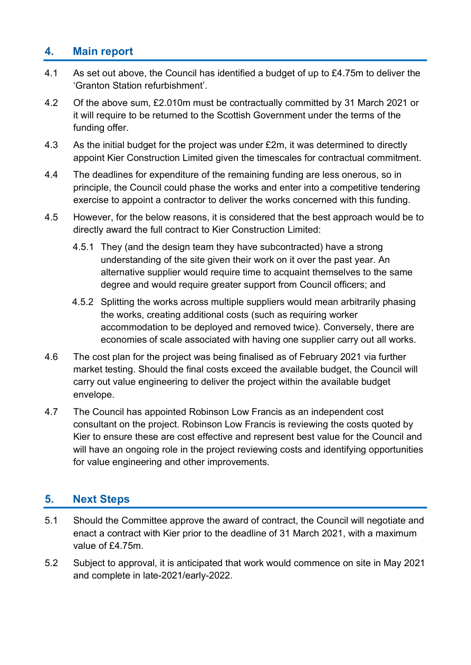#### **4. Main report**

- 4.1 As set out above, the Council has identified a budget of up to £4.75m to deliver the 'Granton Station refurbishment'.
- 4.2 Of the above sum, £2.010m must be contractually committed by 31 March 2021 or it will require to be returned to the Scottish Government under the terms of the funding offer.
- 4.3 As the initial budget for the project was under £2m, it was determined to directly appoint Kier Construction Limited given the timescales for contractual commitment.
- 4.4 The deadlines for expenditure of the remaining funding are less onerous, so in principle, the Council could phase the works and enter into a competitive tendering exercise to appoint a contractor to deliver the works concerned with this funding.
- 4.5 However, for the below reasons, it is considered that the best approach would be to directly award the full contract to Kier Construction Limited:
	- 4.5.1 They (and the design team they have subcontracted) have a strong understanding of the site given their work on it over the past year. An alternative supplier would require time to acquaint themselves to the same degree and would require greater support from Council officers; and
	- 4.5.2 Splitting the works across multiple suppliers would mean arbitrarily phasing the works, creating additional costs (such as requiring worker accommodation to be deployed and removed twice). Conversely, there are economies of scale associated with having one supplier carry out all works.
- 4.6 The cost plan for the project was being finalised as of February 2021 via further market testing. Should the final costs exceed the available budget, the Council will carry out value engineering to deliver the project within the available budget envelope.
- 4.7 The Council has appointed Robinson Low Francis as an independent cost consultant on the project. Robinson Low Francis is reviewing the costs quoted by Kier to ensure these are cost effective and represent best value for the Council and will have an ongoing role in the project reviewing costs and identifying opportunities for value engineering and other improvements.

#### **5. Next Steps**

- 5.1 Should the Committee approve the award of contract, the Council will negotiate and enact a contract with Kier prior to the deadline of 31 March 2021, with a maximum value of £4.75m.
- 5.2 Subject to approval, it is anticipated that work would commence on site in May 2021 and complete in late-2021/early-2022.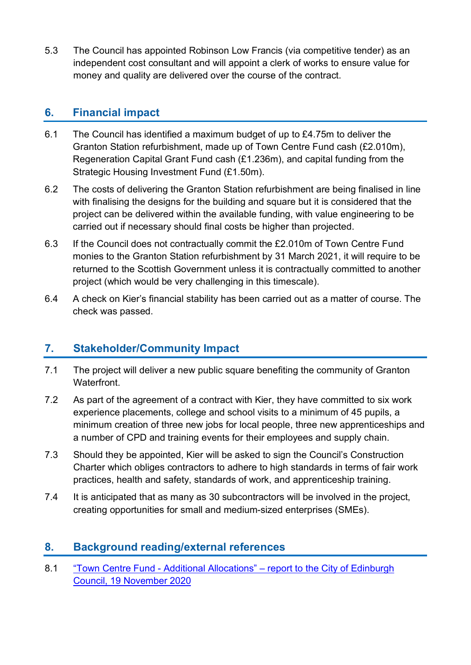5.3 The Council has appointed Robinson Low Francis (via competitive tender) as an independent cost consultant and will appoint a clerk of works to ensure value for money and quality are delivered over the course of the contract.

#### **6. Financial impact**

- 6.1 The Council has identified a maximum budget of up to £4.75m to deliver the Granton Station refurbishment, made up of Town Centre Fund cash (£2.010m), Regeneration Capital Grant Fund cash (£1.236m), and capital funding from the Strategic Housing Investment Fund (£1.50m).
- 6.2 The costs of delivering the Granton Station refurbishment are being finalised in line with finalising the designs for the building and square but it is considered that the project can be delivered within the available funding, with value engineering to be carried out if necessary should final costs be higher than projected.
- 6.3 If the Council does not contractually commit the £2.010m of Town Centre Fund monies to the Granton Station refurbishment by 31 March 2021, it will require to be returned to the Scottish Government unless it is contractually committed to another project (which would be very challenging in this timescale).
- 6.4 A check on Kier's financial stability has been carried out as a matter of course. The check was passed.

### **7. Stakeholder/Community Impact**

- 7.1 The project will deliver a new public square benefiting the community of Granton Waterfront.
- 7.2 As part of the agreement of a contract with Kier, they have committed to six work experience placements, college and school visits to a minimum of 45 pupils, a minimum creation of three new jobs for local people, three new apprenticeships and a number of CPD and training events for their employees and supply chain.
- 7.3 Should they be appointed, Kier will be asked to sign the Council's Construction Charter which obliges contractors to adhere to high standards in terms of fair work practices, health and safety, standards of work, and apprenticeship training.
- 7.4 It is anticipated that as many as 30 subcontractors will be involved in the project, creating opportunities for small and medium-sized enterprises (SMEs).

#### **8. Background reading/external references**

8.1 "Town Centre Fund - Additional Allocations" – [report to the City of Edinburgh](https://democracy.edinburgh.gov.uk/ieListDocuments.aspx?CId=150&MId=5593&Ver=4)  [Council, 19 November 2020](https://democracy.edinburgh.gov.uk/ieListDocuments.aspx?CId=150&MId=5593&Ver=4)